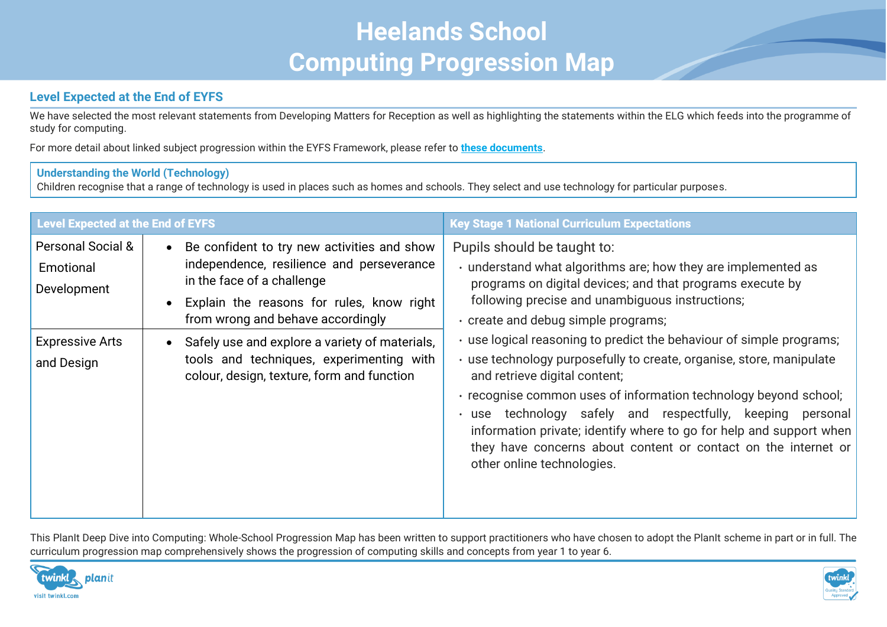# **Heelands School Computing Progression Map**

# **Level Expected at the End of EYFS**

We have selected the most relevant statements from Developing Matters for Reception as well as highlighting the statements within the ELG which feeds into the programme of study for computing.

For more detail about linked subject progression within the EYFS Framework, please refer to **[these documents](https://www.twinkl.co.uk/resource/learning-in-eyfs-what-subject-leaders-need-to-know-resource-pack-t-tp-2548825)**.

## **Understanding the World (Technology)**

Children recognise that a range of technology is used in places such as homes and schools. They select and use technology for particular purposes.

| <b>Level Expected at the End of EYFS</b>                                                         |                                                                                                                                                                                                                                                                                                                                                                                             | <b>Key Stage 1 National Curriculum Expectations</b>                                                                                                                                                                                                                                                                                                                                                                                                                                                                                                                                                                                                                                                                                              |
|--------------------------------------------------------------------------------------------------|---------------------------------------------------------------------------------------------------------------------------------------------------------------------------------------------------------------------------------------------------------------------------------------------------------------------------------------------------------------------------------------------|--------------------------------------------------------------------------------------------------------------------------------------------------------------------------------------------------------------------------------------------------------------------------------------------------------------------------------------------------------------------------------------------------------------------------------------------------------------------------------------------------------------------------------------------------------------------------------------------------------------------------------------------------------------------------------------------------------------------------------------------------|
| <b>Personal Social &amp;</b><br>Emotional<br>Development<br><b>Expressive Arts</b><br>and Design | Be confident to try new activities and show<br>$\bullet$<br>independence, resilience and perseverance<br>in the face of a challenge<br>Explain the reasons for rules, know right<br>$\bullet$<br>from wrong and behave accordingly<br>Safely use and explore a variety of materials,<br>$\bullet$<br>tools and techniques, experimenting with<br>colour, design, texture, form and function | Pupils should be taught to:<br>· understand what algorithms are; how they are implemented as<br>programs on digital devices; and that programs execute by<br>following precise and unambiguous instructions;<br>. create and debug simple programs;<br>. use logical reasoning to predict the behaviour of simple programs;<br>· use technology purposefully to create, organise, store, manipulate<br>and retrieve digital content;<br>· recognise common uses of information technology beyond school;<br>· use technology safely and respectfully, keeping<br>personal<br>information private; identify where to go for help and support when<br>they have concerns about content or contact on the internet or<br>other online technologies. |
|                                                                                                  |                                                                                                                                                                                                                                                                                                                                                                                             |                                                                                                                                                                                                                                                                                                                                                                                                                                                                                                                                                                                                                                                                                                                                                  |

This PlanIt Deep Dive into Computing: Whole-School Progression Map has been written to support practitioners who have chosen to adopt the PlanIt scheme in part or in full. The curriculum progression map comprehensively shows the progression of computing skills and concepts from year 1 to year 6.



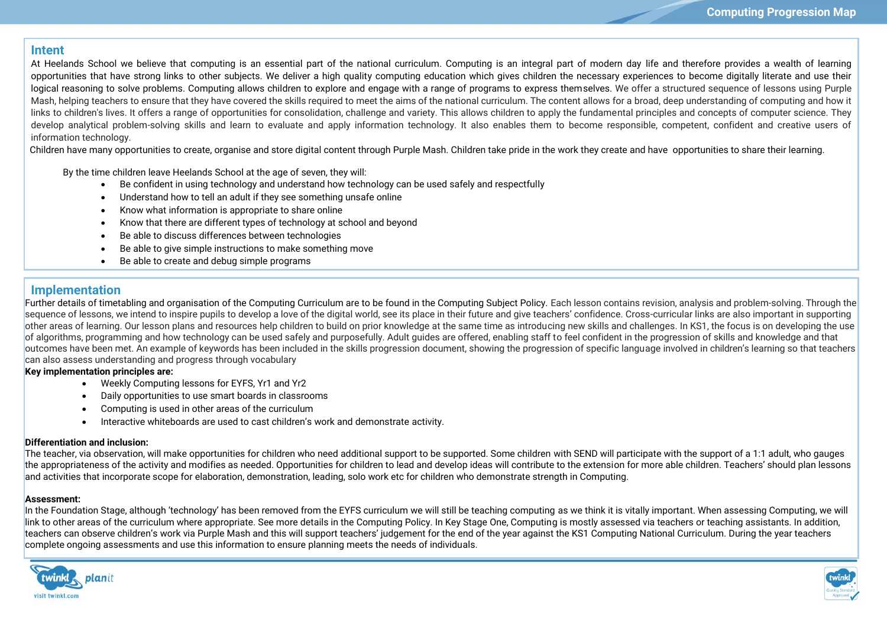### **Intent**

At Heelands School we believe that computing is an essential part of the national curriculum. Computing is an integral part of modern day life and therefore provides a wealth of learning opportunities that have strong links to other subjects. We deliver a high quality computing education which gives children the necessary experiences to become digitally literate and use their logical reasoning to solve problems. Computing allows children to explore and engage with a range of programs to express themselves. We offer a structured sequence of lessons using Purple Mash, helping teachers to ensure that they have covered the skills required to meet the aims of the national curriculum. The content allows for a broad, deep understanding of computing and how it links to children's lives. It offers a range of opportunities for consolidation, challenge and variety. This allows children to apply the fundamental principles and concepts of computer science. They develop analytical problem-solving skills and learn to evaluate and apply information technology. It also enables them to become responsible, competent, confident and creative users of information technology.

Children have many opportunities to create, organise and store digital content through Purple Mash. Children take pride in the work they create and have opportunities to share their learning.

By the time children leave Heelands School at the age of seven, they will:

- Be confident in using technology and understand how technology can be used safely and respectfully
- Understand how to tell an adult if they see something unsafe online
- Know what information is appropriate to share online
- Know that there are different types of technology at school and beyond
- Be able to discuss differences between technologies
- Be able to give simple instructions to make something move

 $U$ se logical reasoning to predict the behaviours of programs of programs of programs of programs of programs of  $\mu$ 

Be able to create and debug simple programs

## **Implementation**

Further details of timetabling and organisation of the Computing Curriculum are to be found in the Computing Subject Policy. Each lesson contains revision, analysis and problem-solving. Through the sequence of lessons, we intend to inspire pupils to develop a love of the digital world, see its place in their future and give teachers' confidence. Cross-curricular links are also important in supporting other areas of learning. Our lesson plans and resources help children to build on prior knowledge at the same time as introducing new skills and challenges. In KS1, the focus is on developing the use of algorithms, programming and how technology can be used safely and purposefully. Adult guides are offered, enabling staff to feel confident in the progression of skills and knowledge and that outcomes have been met. An example of keywords has been included in the skills progression document, showing the progression of specific language involved in children's learning so that teachers can also assess understanding and progress through vocabulary

**Key implementation principles are:**

- Weekly Computing lessons for EYFS, Yr1 and Yr2
- Daily opportunities to use smart boards in classrooms
- Computing is used in other areas of the curriculum
- Interactive whiteboards are used to cast children's work and demonstrate activity.

#### **Differentiation and inclusion:**

The teacher, via observation, will make opportunities for children who need additional support to be supported. Some children with SEND will participate with the support of a 1:1 adult, who qauges the appropriateness of the activity and modifies as needed. Opportunities for children to lead and develop ideas will contribute to the extension for more able children. Teachers' should plan lessons and activities that incorporate scope for elaboration, demonstration, leading, solo work etc for children who demonstrate strength in Computing.

#### **Assessment:**

In the Foundation Stage, although 'technology' has been removed from the EYFS curriculum we will still be teaching computing as we think it is vitally important. When assessing Computing, we will link to other areas of the curriculum where appropriate. See more details in the Computing Policy. In Key Stage One, Computing is mostly assessed via teachers or teaching assistants. In addition, teachers can observe children's work via Purple Mash and this will support teachers' judgement for the end of the year against the KS1 Computing National Curriculum. During the year teachers complete ongoing assessments and use this information to ensure planning meets the needs of individuals.



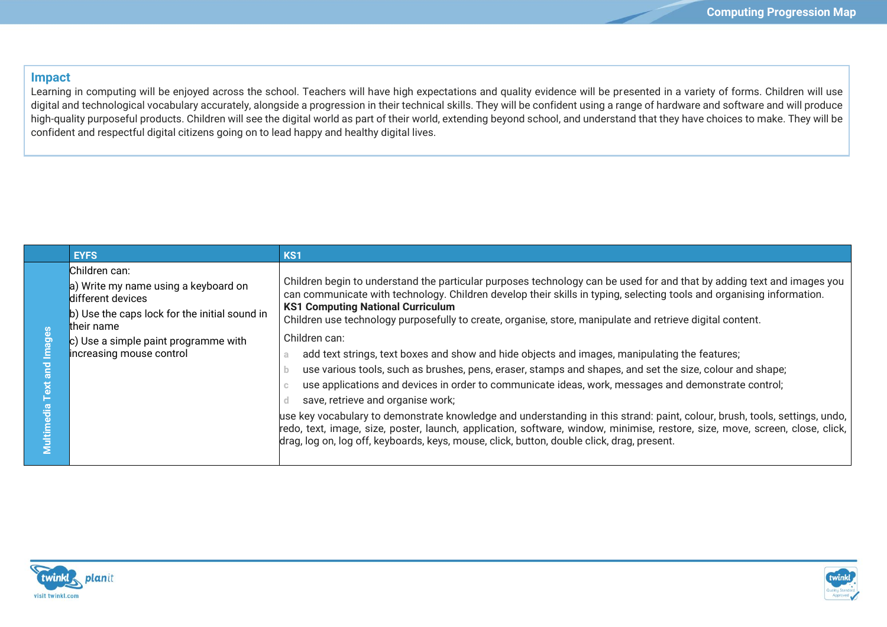### **Impact**

Learning in computing will be enjoyed across the school. Teachers will have high expectations and quality evidence will be presented in a variety of forms. Children will use digital and technological vocabulary accurately, alongside a progression in their technical skills. They will be confident using a range of hardware and software and will produce high-quality purposeful products. Children will see the digital world as part of their world, extending beyond school, and understand that they have choices to make. They will be confident and respectful digital citizens going on to lead happy and healthy digital lives.

| <b>EYFS</b>                                                                                                                                                                                                   | KS <sub>1</sub>                                                                                                                                                                                                                                                                                                                                                                                                                                                                                                                                                                                                                                                                                                                                                                                                                                                                                                                                                                                                                                                                                                                                    |
|---------------------------------------------------------------------------------------------------------------------------------------------------------------------------------------------------------------|----------------------------------------------------------------------------------------------------------------------------------------------------------------------------------------------------------------------------------------------------------------------------------------------------------------------------------------------------------------------------------------------------------------------------------------------------------------------------------------------------------------------------------------------------------------------------------------------------------------------------------------------------------------------------------------------------------------------------------------------------------------------------------------------------------------------------------------------------------------------------------------------------------------------------------------------------------------------------------------------------------------------------------------------------------------------------------------------------------------------------------------------------|
| Children can:<br>a) Write my name using a keyboard on<br>different devices<br>b) Use the caps lock for the initial sound in<br>their name<br>c) Use a simple paint programme with<br>increasing mouse control | Children begin to understand the particular purposes technology can be used for and that by adding text and images you<br>can communicate with technology. Children develop their skills in typing, selecting tools and organising information.<br><b>KS1 Computing National Curriculum</b><br>Children use technology purposefully to create, organise, store, manipulate and retrieve digital content.<br>Children can:<br>add text strings, text boxes and show and hide objects and images, manipulating the features;<br>use various tools, such as brushes, pens, eraser, stamps and shapes, and set the size, colour and shape;<br>use applications and devices in order to communicate ideas, work, messages and demonstrate control;<br>save, retrieve and organise work;<br>use key vocabulary to demonstrate knowledge and understanding in this strand: paint, colour, brush, tools, settings, undo,  <br>redo, text, image, size, poster, launch, application, software, window, minimise, restore, size, move, screen, close, click,  <br>drag, log on, log off, keyboards, keys, mouse, click, button, double click, drag, present. |



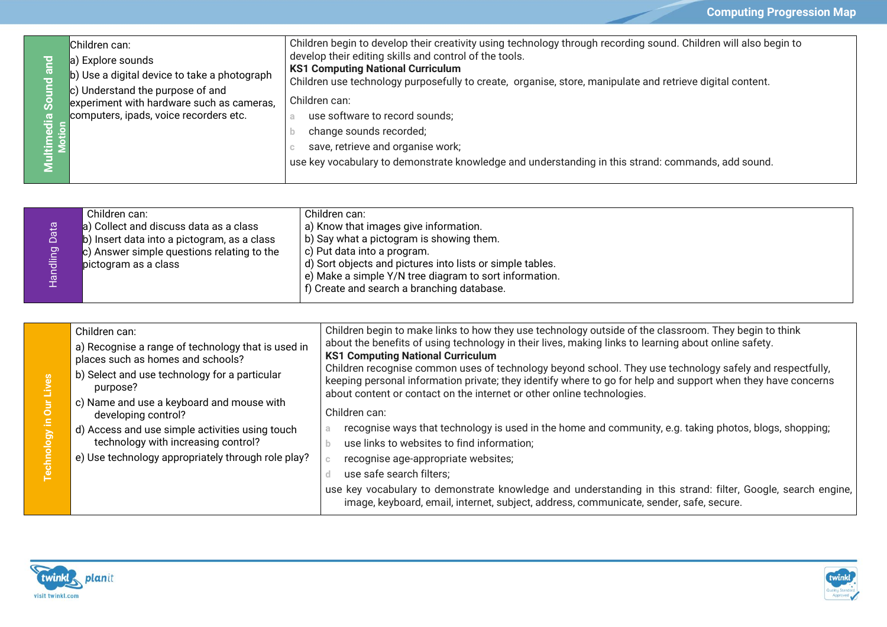| $\tilde{\mathbf{a}}$<br>Ŏ<br>l.a<br>His<br>÷.<br>Ē | Children can:<br>a) Explore sounds<br>b) Use a digital device to take a photograph<br>c) Understand the purpose of and<br>experiment with hardware such as cameras,<br>computers, ipads, voice recorders etc. | Children begin to develop their creativity using technology through recording sound. Children will also begin to<br>develop their editing skills and control of the tools.<br><b>KS1 Computing National Curriculum</b><br>Children use technology purposefully to create, organise, store, manipulate and retrieve digital content.<br>Children can:<br>use software to record sounds;<br>change sounds recorded;<br>save, retrieve and organise work;<br>use key vocabulary to demonstrate knowledge and understanding in this strand: commands, add sound. |
|----------------------------------------------------|---------------------------------------------------------------------------------------------------------------------------------------------------------------------------------------------------------------|--------------------------------------------------------------------------------------------------------------------------------------------------------------------------------------------------------------------------------------------------------------------------------------------------------------------------------------------------------------------------------------------------------------------------------------------------------------------------------------------------------------------------------------------------------------|
|----------------------------------------------------|---------------------------------------------------------------------------------------------------------------------------------------------------------------------------------------------------------------|--------------------------------------------------------------------------------------------------------------------------------------------------------------------------------------------------------------------------------------------------------------------------------------------------------------------------------------------------------------------------------------------------------------------------------------------------------------------------------------------------------------------------------------------------------------|

|   | Children can:                               | Children can:                                                |
|---|---------------------------------------------|--------------------------------------------------------------|
|   | a) Collect and discuss data as a class      | a) Know that images give information.                        |
|   | b) Insert data into a pictogram, as a class | b) Say what a pictogram is showing them.                     |
| ත | c) Answer simple questions relating to the  | c) Put data into a program.                                  |
|   | pictogram as a class                        | d) Sort objects and pictures into lists or simple tables.    |
|   |                                             | $\pm$ e) Make a simple Y/N tree diagram to sort information. |
|   |                                             | f) Create and search a branching database.                   |
|   |                                             |                                                              |

| Children can:<br>a) Recognise a range of technology that is used in<br>places such as homes and schools?<br>b) Select and use technology for a particular<br>purpose?<br>c) Name and use a keyboard and mouse with<br>developing control?<br>d) Access and use simple activities using touch<br>technology with increasing control?<br>e) Use technology appropriately through role play? | Children begin to make links to how they use technology outside of the classroom. They begin to think<br>about the benefits of using technology in their lives, making links to learning about online safety.<br><b>KS1 Computing National Curriculum</b><br>Children recognise common uses of technology beyond school. They use technology safely and respectfully,<br>keeping personal information private; they identify where to go for help and support when they have concerns<br>about content or contact on the internet or other online technologies.<br>Children can:<br>recognise ways that technology is used in the home and community, e.g. taking photos, blogs, shopping;<br>use links to websites to find information;<br>recognise age-appropriate websites;<br>use safe search filters;<br>use key vocabulary to demonstrate knowledge and understanding in this strand: filter, Google, search engine,<br>image, keyboard, email, internet, subject, address, communicate, sender, safe, secure. |
|-------------------------------------------------------------------------------------------------------------------------------------------------------------------------------------------------------------------------------------------------------------------------------------------------------------------------------------------------------------------------------------------|-----------------------------------------------------------------------------------------------------------------------------------------------------------------------------------------------------------------------------------------------------------------------------------------------------------------------------------------------------------------------------------------------------------------------------------------------------------------------------------------------------------------------------------------------------------------------------------------------------------------------------------------------------------------------------------------------------------------------------------------------------------------------------------------------------------------------------------------------------------------------------------------------------------------------------------------------------------------------------------------------------------------------|
|-------------------------------------------------------------------------------------------------------------------------------------------------------------------------------------------------------------------------------------------------------------------------------------------------------------------------------------------------------------------------------------------|-----------------------------------------------------------------------------------------------------------------------------------------------------------------------------------------------------------------------------------------------------------------------------------------------------------------------------------------------------------------------------------------------------------------------------------------------------------------------------------------------------------------------------------------------------------------------------------------------------------------------------------------------------------------------------------------------------------------------------------------------------------------------------------------------------------------------------------------------------------------------------------------------------------------------------------------------------------------------------------------------------------------------|